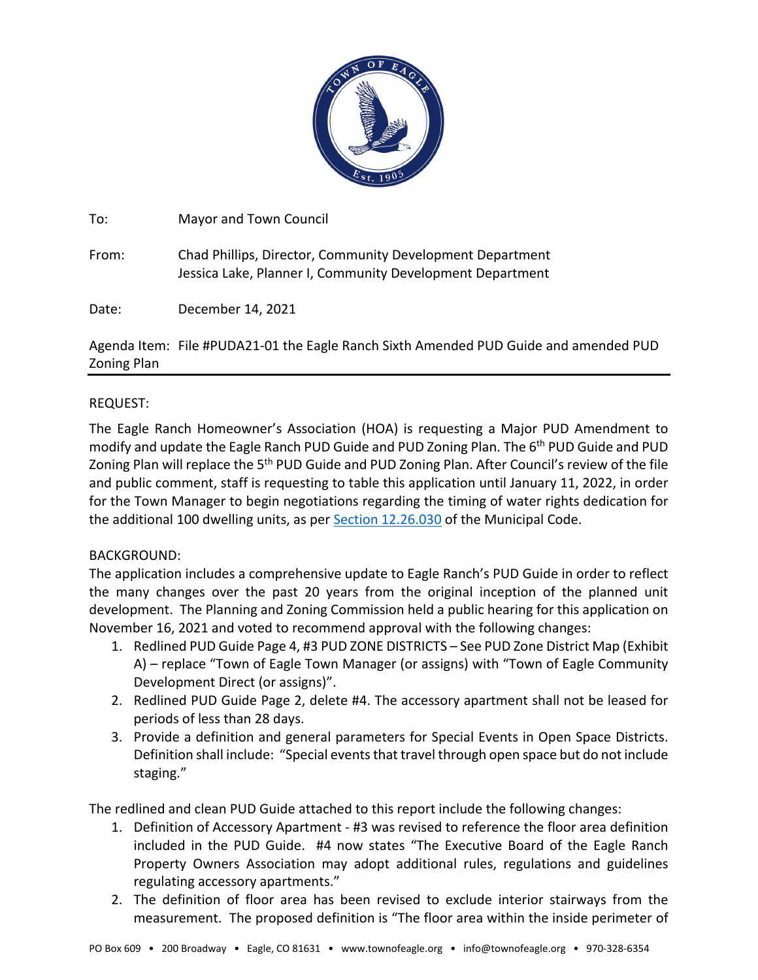

To: Mayor and Town Council

From: Chad Phillips, Director, Community Development Department Jessica Lake, Planner I, Community Development Department

Date: December 14, 2021

Agenda Item: File #PUDA21-01 the Eagle Ranch Sixth Amended PUD Guide and amended PUD Zoning Plan

# REQUEST:

The Eagle Ranch Homeowner's Association (HOA) is requesting a Major PUD Amendment to modify and update the Eagle Ranch PUD Guide and PUD Zoning Plan. The 6<sup>th</sup> PUD Guide and PUD Zoning Plan will replace the 5<sup>th</sup> PUD Guide and PUD Zoning Plan. After Council's review of the file and public comment, staff is requesting to table this application until January 11, 2022, in order for the Town Manager to begin negotiations regarding the timing of water rights dedication for the additional 100 dwelling units, as per [Section 12.26.030](https://library.municode.com/co/eagle/codes/code_of_ordinances?nodeId=COOR_TIT12WAWACO_CH12.26WARI_S12.26.030BADERE) of the Municipal Code.

## BACKGROUND:

The application includes a comprehensive update to Eagle Ranch's PUD Guide in order to reflect the many changes over the past 20 years from the original inception of the planned unit development. The Planning and Zoning Commission held a public hearing for this application on November 16, 2021 and voted to recommend approval with the following changes:

- 1. Redlined PUD Guide Page 4, #3 PUD ZONE DISTRICTS See PUD Zone District Map (Exhibit A) – replace "Town of Eagle Town Manager (or assigns) with "Town of Eagle Community Development Direct (or assigns)".
- 2. Redlined PUD Guide Page 2, delete #4. The accessory apartment shall not be leased for periods of less than 28 days.
- 3. Provide a definition and general parameters for Special Events in Open Space Districts. Definition shall include: "Special events that travel through open space but do not include staging."

The redlined and clean PUD Guide attached to this report include the following changes:

- 1. Definition of Accessory Apartment #3 was revised to reference the floor area definition included in the PUD Guide. #4 now states "The Executive Board of the Eagle Ranch Property Owners Association may adopt additional rules, regulations and guidelines regulating accessory apartments."
- 2. The definition of floor area has been revised to exclude interior stairways from the measurement. The proposed definition is "The floor area within the inside perimeter of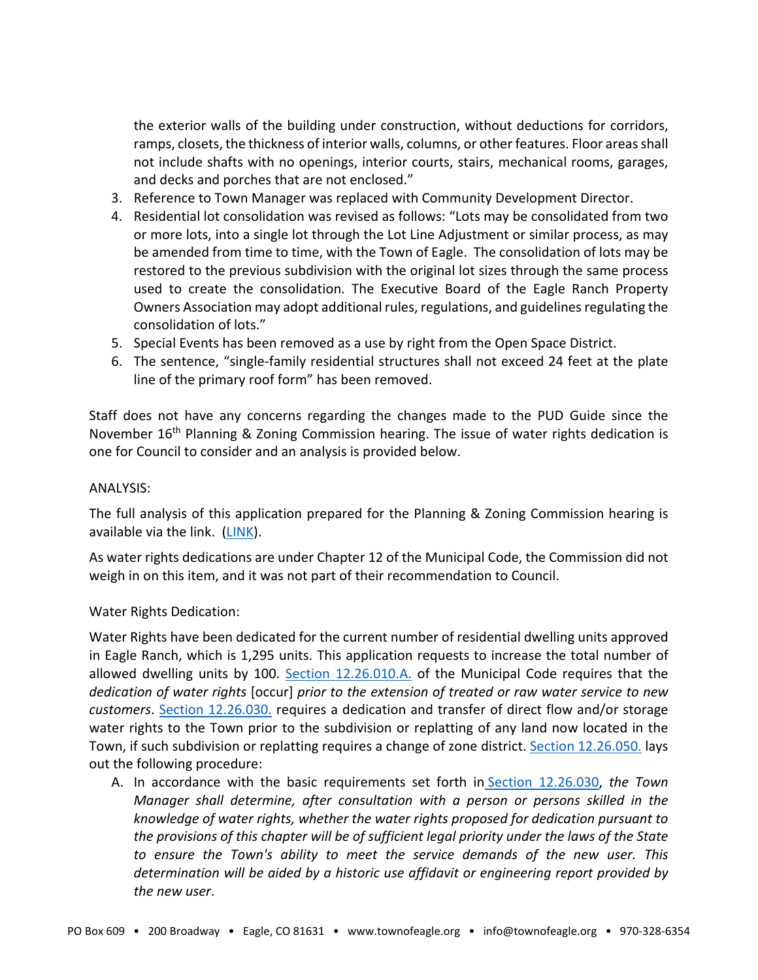the exterior walls of the building under construction, without deductions for corridors, ramps, closets, the thickness of interior walls, columns, or other features. Floor areas shall not include shafts with no openings, interior courts, stairs, mechanical rooms, garages, and decks and porches that are not enclosed."

- 3. Reference to Town Manager was replaced with Community Development Director.
- 4. Residential lot consolidation was revised as follows: "Lots may be consolidated from two or more lots, into a single lot through the Lot Line Adjustment or similar process, as may be amended from time to time, with the Town of Eagle. The consolidation of lots may be restored to the previous subdivision with the original lot sizes through the same process used to create the consolidation. The Executive Board of the Eagle Ranch Property Owners Association may adopt additional rules, regulations, and guidelines regulating the consolidation of lots."
- 5. Special Events has been removed as a use by right from the Open Space District.
- 6. The sentence, "single-family residential structures shall not exceed 24 feet at the plate line of the primary roof form" has been removed.

Staff does not have any concerns regarding the changes made to the PUD Guide since the November  $16<sup>th</sup>$  Planning & Zoning Commission hearing. The issue of water rights dedication is one for Council to consider and an analysis is provided below.

#### ANALYSIS:

The full analysis of this application prepared for the Planning & Zoning Commission hearing is available via the link. [\(LINK\)](https://www.townofeagle.org/DocumentCenter/View/17112/PUDA21-01-PZ-Staff-Report?bidId=).

As water rights dedications are under Chapter 12 of the Municipal Code, the Commission did not weigh in on this item, and it was not part of their recommendation to Council.

### Water Rights Dedication:

Water Rights have been dedicated for the current number of residential dwelling units approved in Eagle Ranch, which is 1,295 units. This application requests to increase the total number of allowed dwelling units by 100. [Section 12.26.010.A.](https://library.municode.com/co/eagle/codes/code_of_ordinances?nodeId=COOR_TIT12WAWACO_CH12.26WARI_S12.26.010INPU) of the Municipal Code requires that the *dedication of water rights* [occur] *prior to the extension of treated or raw water service to new customers*. [Section 12.26.030.](https://library.municode.com/co/eagle/codes/code_of_ordinances?nodeId=COOR_TIT12WAWACO_CH12.26WARI_S12.26.030BADERE) requires a dedication and transfer of direct flow and/or storage water rights to the Town prior to the subdivision or replatting of any land now located in the Town, if such subdivision or replatting requires a change of zone district. [Section 12.26.050.](https://library.municode.com/co/eagle/codes/code_of_ordinances?nodeId=COOR_TIT12WAWACO_CH12.26WARI_S12.26.050PR%7E$%20meeting%20excerpt%20template.docx) lays out the following procedure:

A. In accordance with the basic requirements set forth in [Section 12.26.030,](https://library.municode.com/co/eagle/codes/code_of_ordinances?nodeId=COOR_TIT12WAWACO_CH12.26WARI_S12.26.030BADERE) *the Town Manager shall determine, after consultation with a person or persons skilled in the knowledge of water rights, whether the water rights proposed for dedication pursuant to the provisions of this chapter will be of sufficient legal priority under the laws of the State to ensure the Town's ability to meet the service demands of the new user. This determination will be aided by a historic use affidavit or engineering report provided by the new user*.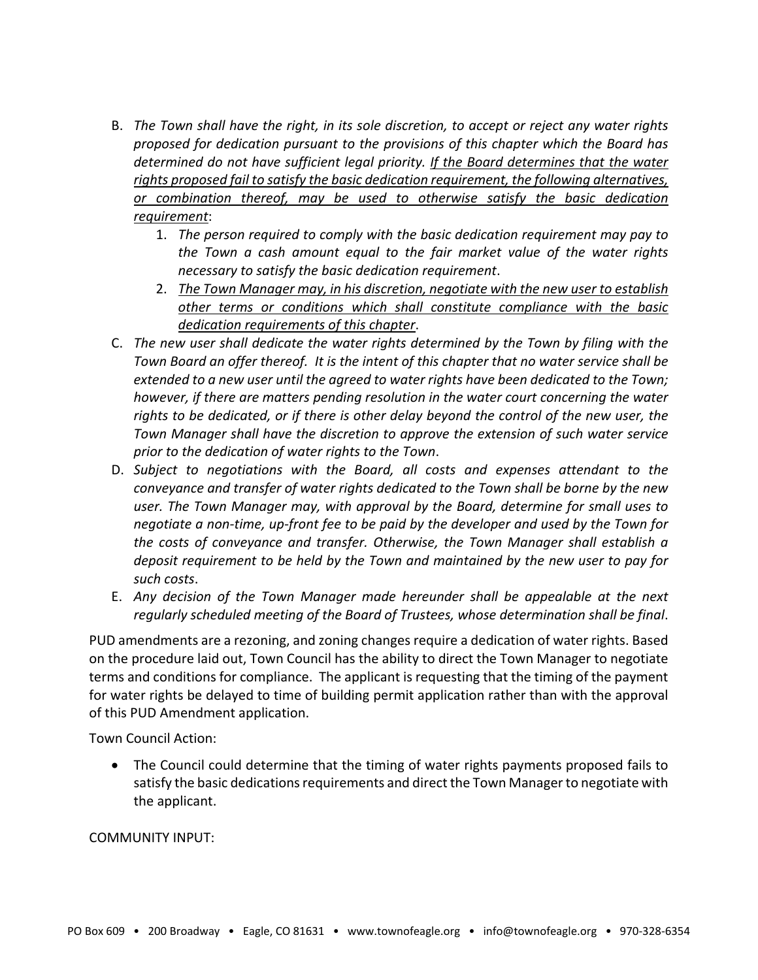- B. *The Town shall have the right, in its sole discretion, to accept or reject any water rights proposed for dedication pursuant to the provisions of this chapter which the Board has determined do not have sufficient legal priority. If the Board determines that the water rights proposed fail to satisfy the basic dedication requirement, the following alternatives, or combination thereof, may be used to otherwise satisfy the basic dedication requirement*:
	- 1. *The person required to comply with the basic dedication requirement may pay to the Town a cash amount equal to the fair market value of the water rights necessary to satisfy the basic dedication requirement*.
	- 2. *The Town Manager may, in his discretion, negotiate with the new user to establish other terms or conditions which shall constitute compliance with the basic dedication requirements of this chapter*.
- C. *The new user shall dedicate the water rights determined by the Town by filing with the Town Board an offer thereof. It is the intent of this chapter that no water service shall be extended to a new user until the agreed to water rights have been dedicated to the Town; however, if there are matters pending resolution in the water court concerning the water*  rights to be dedicated, or if there is other delay beyond the control of the new user, the *Town Manager shall have the discretion to approve the extension of such water service prior to the dedication of water rights to the Town*.
- D. *Subject to negotiations with the Board, all costs and expenses attendant to the conveyance and transfer of water rights dedicated to the Town shall be borne by the new user. The Town Manager may, with approval by the Board, determine for small uses to negotiate a non-time, up-front fee to be paid by the developer and used by the Town for the costs of conveyance and transfer. Otherwise, the Town Manager shall establish a deposit requirement to be held by the Town and maintained by the new user to pay for such costs*.
- E. *Any decision of the Town Manager made hereunder shall be appealable at the next regularly scheduled meeting of the Board of Trustees, whose determination shall be final*.

PUD amendments are a rezoning, and zoning changes require a dedication of water rights. Based on the procedure laid out, Town Council has the ability to direct the Town Manager to negotiate terms and conditions for compliance. The applicant is requesting that the timing of the payment for water rights be delayed to time of building permit application rather than with the approval of this PUD Amendment application.

Town Council Action:

• The Council could determine that the timing of water rights payments proposed fails to satisfy the basic dedications requirements and direct the Town Manager to negotiate with the applicant.

COMMUNITY INPUT: